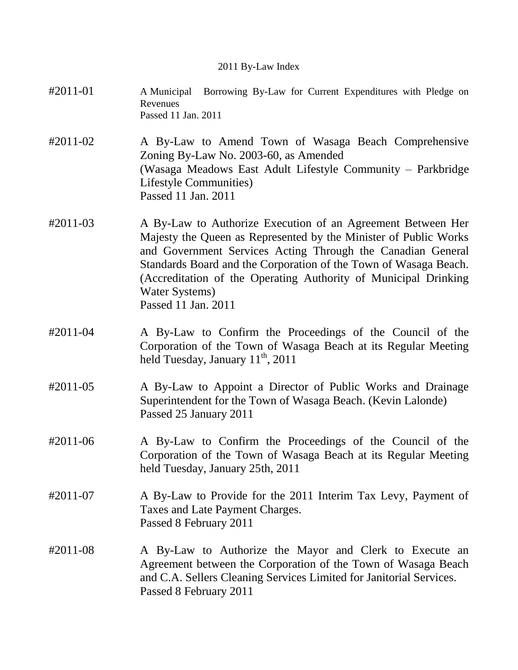## 2011 By-Law Index

- #2011-01 A Municipal Borrowing By-Law for Current Expenditures with Pledge on Revenues Passed 11 Jan. 2011
- #2011-02 A By-Law to Amend Town of Wasaga Beach Comprehensive Zoning By-Law No. 2003-60, as Amended (Wasaga Meadows East Adult Lifestyle Community – Parkbridge Lifestyle Communities) Passed 11 Jan. 2011
- #2011-03 A By-Law to Authorize Execution of an Agreement Between Her Majesty the Queen as Represented by the Minister of Public Works and Government Services Acting Through the Canadian General Standards Board and the Corporation of the Town of Wasaga Beach. (Accreditation of the Operating Authority of Municipal Drinking Water Systems) Passed 11 Jan. 2011
- #2011-04 A By-Law to Confirm the Proceedings of the Council of the Corporation of the Town of Wasaga Beach at its Regular Meeting held Tuesday, January 11<sup>th</sup>, 2011
- #2011-05 A By-Law to Appoint a Director of Public Works and Drainage Superintendent for the Town of Wasaga Beach. (Kevin Lalonde) Passed 25 January 2011
- #2011-06 A By-Law to Confirm the Proceedings of the Council of the Corporation of the Town of Wasaga Beach at its Regular Meeting held Tuesday, January 25th, 2011
- #2011-07 A By-Law to Provide for the 2011 Interim Tax Levy, Payment of Taxes and Late Payment Charges. Passed 8 February 2011
- #2011-08 A By-Law to Authorize the Mayor and Clerk to Execute an Agreement between the Corporation of the Town of Wasaga Beach and C.A. Sellers Cleaning Services Limited for Janitorial Services. Passed 8 February 2011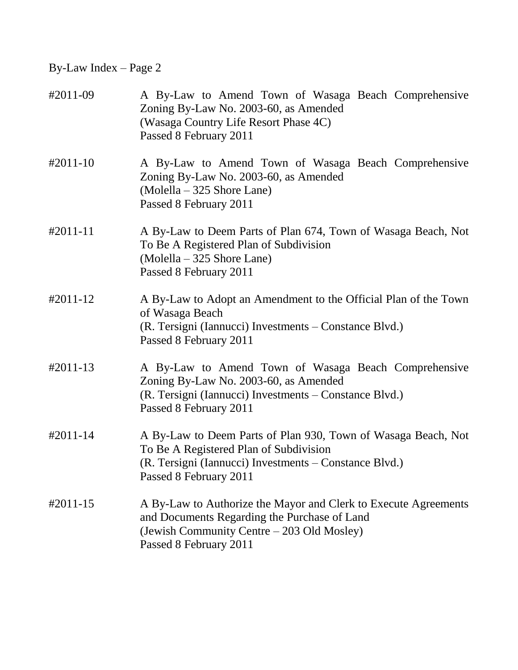| #2011-09             | A By-Law to Amend Town of Wasaga Beach Comprehensive<br>Zoning By-Law No. 2003-60, as Amended<br>(Wasaga Country Life Resort Phase 4C)<br>Passed 8 February 2011                            |
|----------------------|---------------------------------------------------------------------------------------------------------------------------------------------------------------------------------------------|
| $#2011-10$           | A By-Law to Amend Town of Wasaga Beach Comprehensive<br>Zoning By-Law No. 2003-60, as Amended<br>(Molella – 325 Shore Lane)<br>Passed 8 February 2011                                       |
| $#2011 - 11$         | A By-Law to Deem Parts of Plan 674, Town of Wasaga Beach, Not<br>To Be A Registered Plan of Subdivision<br>(Molella – 325 Shore Lane)<br>Passed 8 February 2011                             |
| #2011-12             | A By-Law to Adopt an Amendment to the Official Plan of the Town<br>of Wasaga Beach<br>(R. Tersigni (Iannucci) Investments – Constance Blvd.)<br>Passed 8 February 2011                      |
| $#2011-13$           | A By-Law to Amend Town of Wasaga Beach Comprehensive<br>Zoning By-Law No. 2003-60, as Amended<br>(R. Tersigni (Iannucci) Investments – Constance Blvd.)<br>Passed 8 February 2011           |
| #2011-14             | A By-Law to Deem Parts of Plan 930, Town of Wasaga Beach, Not<br>To Be A Registered Plan of Subdivision<br>(R. Tersigni (Iannucci) Investments – Constance Blvd.)<br>Passed 8 February 2011 |
| $\text{\#}2011 - 15$ | A By-Law to Authorize the Mayor and Clerk to Execute Agreements<br>and Documents Regarding the Purchase of Land<br>(Jewish Community Centre – 203 Old Mosley)<br>Passed 8 February 2011     |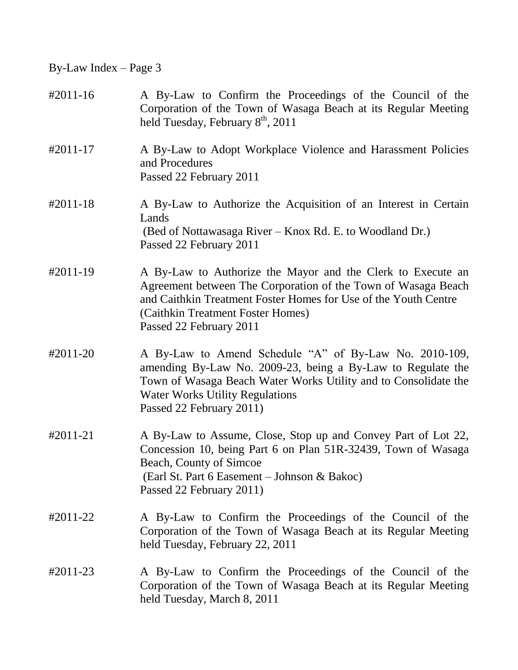| #2011-16      | A By-Law to Confirm the Proceedings of the Council of the<br>Corporation of the Town of Wasaga Beach at its Regular Meeting<br>held Tuesday, February 8 <sup>th</sup> , 2011                                                                                    |
|---------------|-----------------------------------------------------------------------------------------------------------------------------------------------------------------------------------------------------------------------------------------------------------------|
| $\#2011 - 17$ | A By-Law to Adopt Workplace Violence and Harassment Policies<br>and Procedures<br>Passed 22 February 2011                                                                                                                                                       |
| $#2011-18$    | A By-Law to Authorize the Acquisition of an Interest in Certain<br>Lands<br>(Bed of Nottawasaga River – Knox Rd. E. to Woodland Dr.)<br>Passed 22 February 2011                                                                                                 |
| #2011-19      | A By-Law to Authorize the Mayor and the Clerk to Execute an<br>Agreement between The Corporation of the Town of Wasaga Beach<br>and Caithkin Treatment Foster Homes for Use of the Youth Centre<br>(Caithkin Treatment Foster Homes)<br>Passed 22 February 2011 |
| #2011-20      | A By-Law to Amend Schedule "A" of By-Law No. 2010-109,<br>amending By-Law No. 2009-23, being a By-Law to Regulate the<br>Town of Wasaga Beach Water Works Utility and to Consolidate the<br><b>Water Works Utility Regulations</b><br>Passed 22 February 2011)  |
| #2011-21      | A By-Law to Assume, Close, Stop up and Convey Part of Lot 22,<br>Concession 10, being Part 6 on Plan 51R-32439, Town of Wasaga<br>Beach, County of Simcoe<br>(Earl St. Part 6 Easement – Johnson & Bakoc)<br>Passed 22 February 2011)                           |
| #2011-22      | A By-Law to Confirm the Proceedings of the Council of the<br>Corporation of the Town of Wasaga Beach at its Regular Meeting<br>held Tuesday, February 22, 2011                                                                                                  |
| #2011-23      | A By-Law to Confirm the Proceedings of the Council of the<br>Corporation of the Town of Wasaga Beach at its Regular Meeting<br>held Tuesday, March 8, 2011                                                                                                      |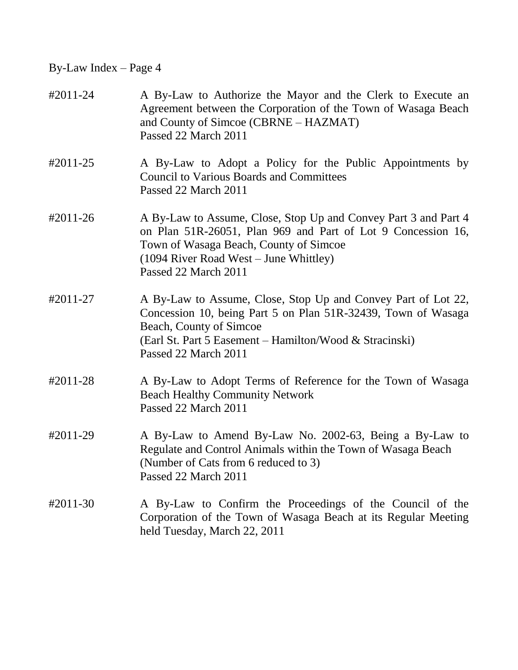| #2011-24   | A By-Law to Authorize the Mayor and the Clerk to Execute an<br>Agreement between the Corporation of the Town of Wasaga Beach<br>and County of Simcoe (CBRNE – HAZMAT)<br>Passed 22 March 2011                                                |
|------------|----------------------------------------------------------------------------------------------------------------------------------------------------------------------------------------------------------------------------------------------|
| #2011-25   | A By-Law to Adopt a Policy for the Public Appointments by<br><b>Council to Various Boards and Committees</b><br>Passed 22 March 2011                                                                                                         |
| #2011-26   | A By-Law to Assume, Close, Stop Up and Convey Part 3 and Part 4<br>on Plan 51R-26051, Plan 969 and Part of Lot 9 Concession 16,<br>Town of Wasaga Beach, County of Simcoe<br>(1094 River Road West – June Whittley)<br>Passed 22 March 2011  |
| #2011-27   | A By-Law to Assume, Close, Stop Up and Convey Part of Lot 22,<br>Concession 10, being Part 5 on Plan 51R-32439, Town of Wasaga<br>Beach, County of Simcoe<br>(Earl St. Part 5 Easement - Hamilton/Wood & Stracinski)<br>Passed 22 March 2011 |
| #2011-28   | A By-Law to Adopt Terms of Reference for the Town of Wasaga<br><b>Beach Healthy Community Network</b><br>Passed 22 March 2011                                                                                                                |
| #2011-29   | A By-Law to Amend By-Law No. 2002-63, Being a By-Law to<br>Regulate and Control Animals within the Town of Wasaga Beach<br>(Number of Cats from 6 reduced to 3)<br>Passed 22 March 2011                                                      |
| $#2011-30$ | A By-Law to Confirm the Proceedings of the Council of the<br>Corporation of the Town of Wasaga Beach at its Regular Meeting<br>held Tuesday, March 22, 2011                                                                                  |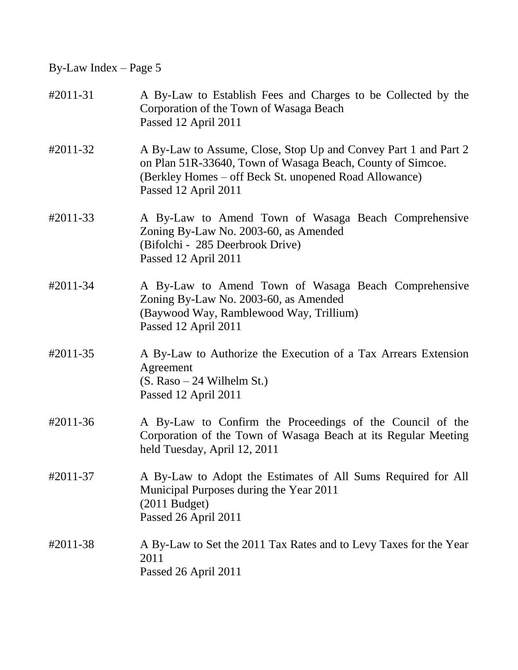| #2011-31 | A By-Law to Establish Fees and Charges to be Collected by the<br>Corporation of the Town of Wasaga Beach<br>Passed 12 April 2011                                                                                |
|----------|-----------------------------------------------------------------------------------------------------------------------------------------------------------------------------------------------------------------|
| #2011-32 | A By-Law to Assume, Close, Stop Up and Convey Part 1 and Part 2<br>on Plan 51R-33640, Town of Wasaga Beach, County of Simcoe.<br>(Berkley Homes - off Beck St. unopened Road Allowance)<br>Passed 12 April 2011 |
| #2011-33 | A By-Law to Amend Town of Wasaga Beach Comprehensive<br>Zoning By-Law No. 2003-60, as Amended<br>(Bifolchi - 285 Deerbrook Drive)<br>Passed 12 April 2011                                                       |
| #2011-34 | A By-Law to Amend Town of Wasaga Beach Comprehensive<br>Zoning By-Law No. 2003-60, as Amended<br>(Baywood Way, Ramblewood Way, Trillium)<br>Passed 12 April 2011                                                |
| #2011-35 | A By-Law to Authorize the Execution of a Tax Arrears Extension<br>Agreement<br>$(S. Raso - 24 Wilhelm St.)$<br>Passed 12 April 2011                                                                             |
| #2011-36 | A By-Law to Confirm the Proceedings of the Council of the<br>Corporation of the Town of Wasaga Beach at its Regular Meeting<br>held Tuesday, April 12, 2011                                                     |
| #2011-37 | A By-Law to Adopt the Estimates of All Sums Required for All<br>Municipal Purposes during the Year 2011<br>$(2011$ Budget)<br>Passed 26 April 2011                                                              |
| #2011-38 | A By-Law to Set the 2011 Tax Rates and to Levy Taxes for the Year<br>2011<br>Passed 26 April 2011                                                                                                               |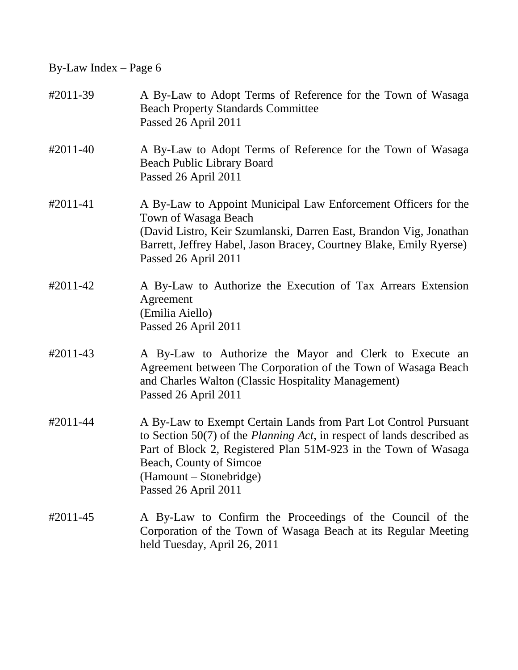| #2011-39      | A By-Law to Adopt Terms of Reference for the Town of Wasaga<br><b>Beach Property Standards Committee</b><br>Passed 26 April 2011                                                                                                                                                                    |
|---------------|-----------------------------------------------------------------------------------------------------------------------------------------------------------------------------------------------------------------------------------------------------------------------------------------------------|
| $\#2011 - 40$ | A By-Law to Adopt Terms of Reference for the Town of Wasaga<br><b>Beach Public Library Board</b><br>Passed 26 April 2011                                                                                                                                                                            |
| $#2011 - 41$  | A By-Law to Appoint Municipal Law Enforcement Officers for the<br>Town of Wasaga Beach<br>(David Listro, Keir Szumlanski, Darren East, Brandon Vig, Jonathan<br>Barrett, Jeffrey Habel, Jason Bracey, Courtney Blake, Emily Ryerse)<br>Passed 26 April 2011                                         |
| #2011-42      | A By-Law to Authorize the Execution of Tax Arrears Extension<br>Agreement<br>(Emilia Aiello)<br>Passed 26 April 2011                                                                                                                                                                                |
| #2011-43      | A By-Law to Authorize the Mayor and Clerk to Execute an<br>Agreement between The Corporation of the Town of Wasaga Beach<br>and Charles Walton (Classic Hospitality Management)<br>Passed 26 April 2011                                                                                             |
| #2011-44      | A By-Law to Exempt Certain Lands from Part Lot Control Pursuant<br>to Section $50(7)$ of the <i>Planning Act</i> , in respect of lands described as<br>Part of Block 2, Registered Plan 51M-923 in the Town of Wasaga<br>Beach, County of Simcoe<br>(Hamount – Stonebridge)<br>Passed 26 April 2011 |
| #2011-45      | A By-Law to Confirm the Proceedings of the Council of the<br>Corporation of the Town of Wasaga Beach at its Regular Meeting<br>held Tuesday, April 26, 2011                                                                                                                                         |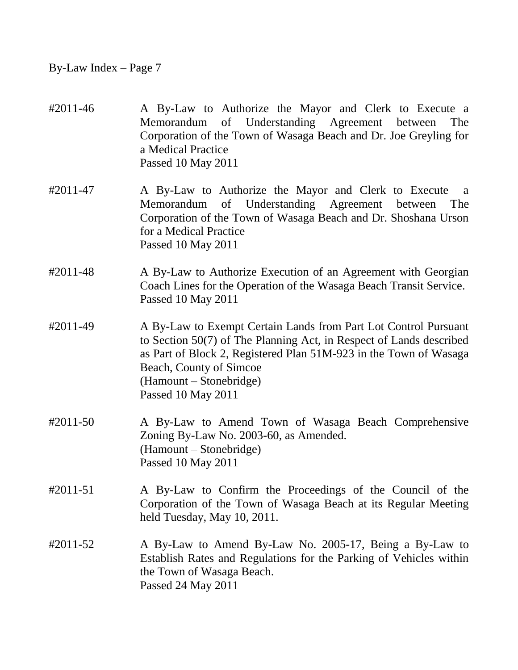| #2011-46 | A By-Law to Authorize the Mayor and Clerk to Execute a<br>Memorandum of Understanding Agreement between<br>The<br>Corporation of the Town of Wasaga Beach and Dr. Joe Greyling for<br>a Medical Practice<br>Passed 10 May 2011                                                          |
|----------|-----------------------------------------------------------------------------------------------------------------------------------------------------------------------------------------------------------------------------------------------------------------------------------------|
| #2011-47 | A By-Law to Authorize the Mayor and Clerk to Execute<br>a<br>Memorandum of Understanding Agreement between<br>The<br>Corporation of the Town of Wasaga Beach and Dr. Shoshana Urson<br>for a Medical Practice<br>Passed 10 May 2011                                                     |
| #2011-48 | A By-Law to Authorize Execution of an Agreement with Georgian<br>Coach Lines for the Operation of the Wasaga Beach Transit Service.<br>Passed 10 May 2011                                                                                                                               |
| #2011-49 | A By-Law to Exempt Certain Lands from Part Lot Control Pursuant<br>to Section 50(7) of The Planning Act, in Respect of Lands described<br>as Part of Block 2, Registered Plan 51M-923 in the Town of Wasaga<br>Beach, County of Simcoe<br>(Hamount – Stonebridge)<br>Passed 10 May 2011 |
| #2011-50 | A By-Law to Amend Town of Wasaga Beach Comprehensive<br>Zoning By-Law No. 2003-60, as Amended.<br>(Hamount – Stonebridge)<br>Passed 10 May 2011                                                                                                                                         |
| #2011-51 | A By-Law to Confirm the Proceedings of the Council of the<br>Corporation of the Town of Wasaga Beach at its Regular Meeting<br>held Tuesday, May 10, 2011.                                                                                                                              |
| #2011-52 | A By-Law to Amend By-Law No. 2005-17, Being a By-Law to<br>Establish Rates and Regulations for the Parking of Vehicles within<br>the Town of Wasaga Beach.<br>Passed 24 May 2011                                                                                                        |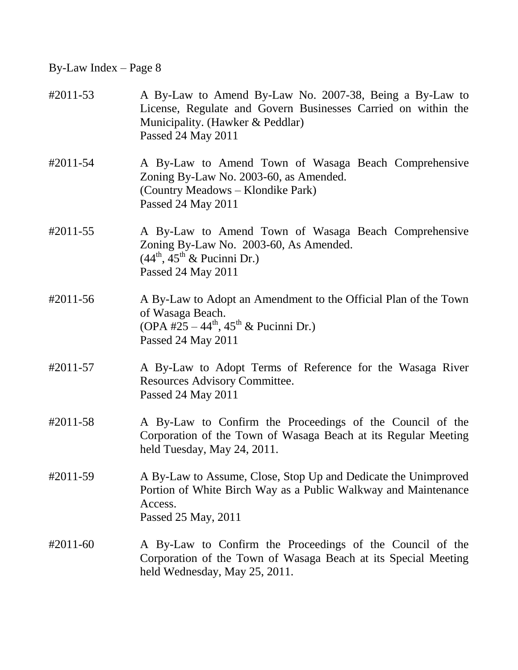| #2011-53   | A By-Law to Amend By-Law No. 2007-38, Being a By-Law to<br>License, Regulate and Govern Businesses Carried on within the<br>Municipality. (Hawker & Peddlar)<br>Passed 24 May 2011 |
|------------|------------------------------------------------------------------------------------------------------------------------------------------------------------------------------------|
| #2011-54   | A By-Law to Amend Town of Wasaga Beach Comprehensive<br>Zoning By-Law No. 2003-60, as Amended.<br>(Country Meadows – Klondike Park)<br>Passed 24 May 2011                          |
| #2011-55   | A By-Law to Amend Town of Wasaga Beach Comprehensive<br>Zoning By-Law No. 2003-60, As Amended.<br>$(44^{\text{th}}, 45^{\text{th}} \& \text{ Pucinni Dr.})$<br>Passed 24 May 2011  |
| #2011-56   | A By-Law to Adopt an Amendment to the Official Plan of the Town<br>of Wasaga Beach.<br>(OPA #25 – 44 <sup>th</sup> , 45 <sup>th</sup> & Pucinni Dr.)<br>Passed 24 May 2011         |
| #2011-57   | A By-Law to Adopt Terms of Reference for the Wasaga River<br>Resources Advisory Committee.<br>Passed 24 May 2011                                                                   |
| #2011-58   | A By-Law to Confirm the Proceedings of the Council of the<br>Corporation of the Town of Wasaga Beach at its Regular Meeting<br>held Tuesday, May 24, 2011.                         |
| #2011-59   | A By-Law to Assume, Close, Stop Up and Dedicate the Unimproved<br>Portion of White Birch Way as a Public Walkway and Maintenance<br>Access.<br>Passed 25 May, 2011                 |
| $#2011-60$ | A By-Law to Confirm the Proceedings of the Council of the<br>Corporation of the Town of Wasaga Beach at its Special Meeting<br>held Wednesday, May 25, 2011.                       |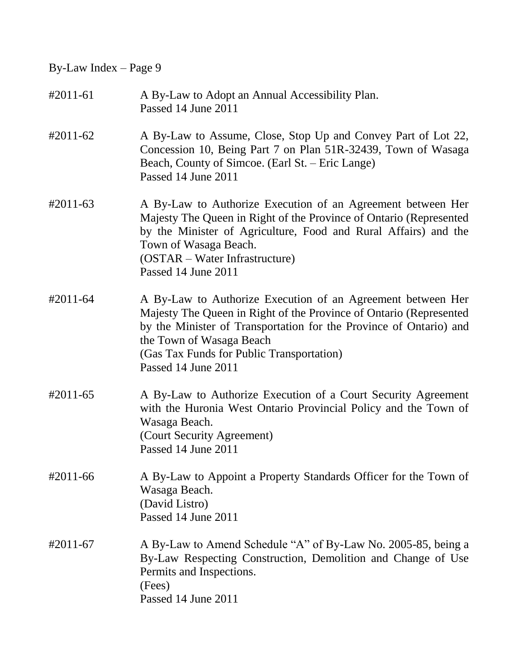| $#2011-61$           | A By-Law to Adopt an Annual Accessibility Plan.<br>Passed 14 June 2011                                                                                                                                                                                                                 |
|----------------------|----------------------------------------------------------------------------------------------------------------------------------------------------------------------------------------------------------------------------------------------------------------------------------------|
| $\text{\#}2011 - 62$ | A By-Law to Assume, Close, Stop Up and Convey Part of Lot 22,<br>Concession 10, Being Part 7 on Plan 51R-32439, Town of Wasaga<br>Beach, County of Simcoe. (Earl St. – Eric Lange)<br>Passed 14 June 2011                                                                              |
| $\text{\#}2011 - 63$ | A By-Law to Authorize Execution of an Agreement between Her<br>Majesty The Queen in Right of the Province of Ontario (Represented<br>by the Minister of Agriculture, Food and Rural Affairs) and the<br>Town of Wasaga Beach.<br>(OSTAR – Water Infrastructure)<br>Passed 14 June 2011 |
| #2011-64             | A By-Law to Authorize Execution of an Agreement between Her<br>Majesty The Queen in Right of the Province of Ontario (Represented<br>by the Minister of Transportation for the Province of Ontario) and<br>the Town of Wasaga Beach                                                    |

(Gas Tax Funds for Public Transportation) Passed 14 June 2011

- #2011-65 A By-Law to Authorize Execution of a Court Security Agreement with the Huronia West Ontario Provincial Policy and the Town of Wasaga Beach. (Court Security Agreement) Passed 14 June 2011
- #2011-66 A By-Law to Appoint a Property Standards Officer for the Town of Wasaga Beach. (David Listro) Passed 14 June 2011
- #2011-67 A By-Law to Amend Schedule "A" of By-Law No. 2005-85, being a By-Law Respecting Construction, Demolition and Change of Use Permits and Inspections. (Fees) Passed 14 June 2011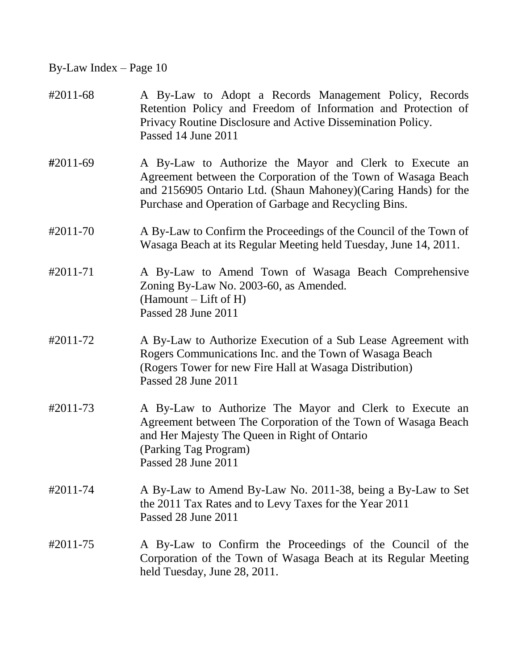| #2011-68 | A By-Law to Adopt a Records Management Policy, Records<br>Retention Policy and Freedom of Information and Protection of<br>Privacy Routine Disclosure and Active Dissemination Policy.<br>Passed 14 June 2011                                        |
|----------|------------------------------------------------------------------------------------------------------------------------------------------------------------------------------------------------------------------------------------------------------|
| #2011-69 | A By-Law to Authorize the Mayor and Clerk to Execute an<br>Agreement between the Corporation of the Town of Wasaga Beach<br>and 2156905 Ontario Ltd. (Shaun Mahoney) (Caring Hands) for the<br>Purchase and Operation of Garbage and Recycling Bins. |
| #2011-70 | A By-Law to Confirm the Proceedings of the Council of the Town of<br>Wasaga Beach at its Regular Meeting held Tuesday, June 14, 2011.                                                                                                                |
| #2011-71 | A By-Law to Amend Town of Wasaga Beach Comprehensive<br>Zoning By-Law No. 2003-60, as Amended.<br>$(Hamount - Lift of H)$<br>Passed 28 June 2011                                                                                                     |
| #2011-72 | A By-Law to Authorize Execution of a Sub Lease Agreement with<br>Rogers Communications Inc. and the Town of Wasaga Beach<br>(Rogers Tower for new Fire Hall at Wasaga Distribution)<br>Passed 28 June 2011                                           |
| #2011-73 | A By-Law to Authorize The Mayor and Clerk to Execute an<br>Agreement between The Corporation of the Town of Wasaga Beach<br>and Her Majesty The Queen in Right of Ontario<br>(Parking Tag Program)<br>Passed 28 June 2011                            |
| #2011-74 | A By-Law to Amend By-Law No. 2011-38, being a By-Law to Set<br>the 2011 Tax Rates and to Levy Taxes for the Year 2011<br>Passed 28 June 2011                                                                                                         |
| #2011-75 | A By-Law to Confirm the Proceedings of the Council of the<br>Corporation of the Town of Wasaga Beach at its Regular Meeting<br>held Tuesday, June 28, 2011.                                                                                          |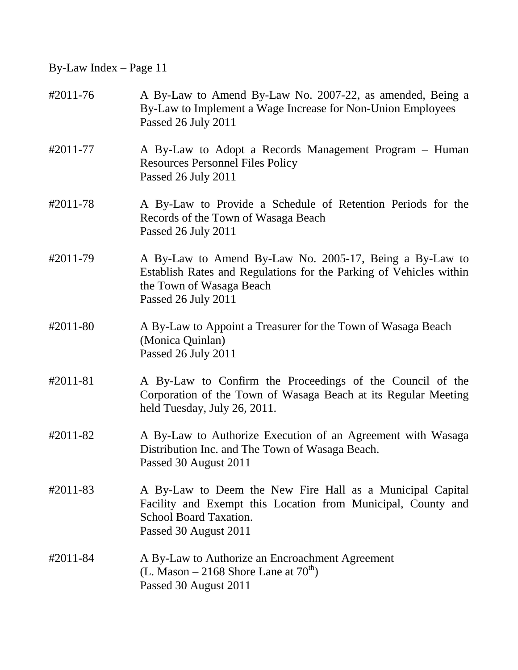| #2011-76 | A By-Law to Amend By-Law No. 2007-22, as amended, Being a<br>By-Law to Implement a Wage Increase for Non-Union Employees<br>Passed 26 July 2011                                     |
|----------|-------------------------------------------------------------------------------------------------------------------------------------------------------------------------------------|
| #2011-77 | A By-Law to Adopt a Records Management Program – Human<br><b>Resources Personnel Files Policy</b><br>Passed 26 July 2011                                                            |
| #2011-78 | A By-Law to Provide a Schedule of Retention Periods for the<br>Records of the Town of Wasaga Beach<br>Passed 26 July 2011                                                           |
| #2011-79 | A By-Law to Amend By-Law No. 2005-17, Being a By-Law to<br>Establish Rates and Regulations for the Parking of Vehicles within<br>the Town of Wasaga Beach<br>Passed 26 July 2011    |
| #2011-80 | A By-Law to Appoint a Treasurer for the Town of Wasaga Beach<br>(Monica Quinlan)<br>Passed 26 July 2011                                                                             |
| #2011-81 | A By-Law to Confirm the Proceedings of the Council of the<br>Corporation of the Town of Wasaga Beach at its Regular Meeting<br>held Tuesday, July 26, 2011.                         |
| #2011-82 | A By-Law to Authorize Execution of an Agreement with Wasaga<br>Distribution Inc. and The Town of Wasaga Beach.<br>Passed 30 August 2011                                             |
| #2011-83 | A By-Law to Deem the New Fire Hall as a Municipal Capital<br>Facility and Exempt this Location from Municipal, County and<br><b>School Board Taxation.</b><br>Passed 30 August 2011 |
| #2011-84 | A By-Law to Authorize an Encroachment Agreement<br>(L. Mason – 2168 Shore Lane at $70^{th}$ )<br>Passed 30 August 2011                                                              |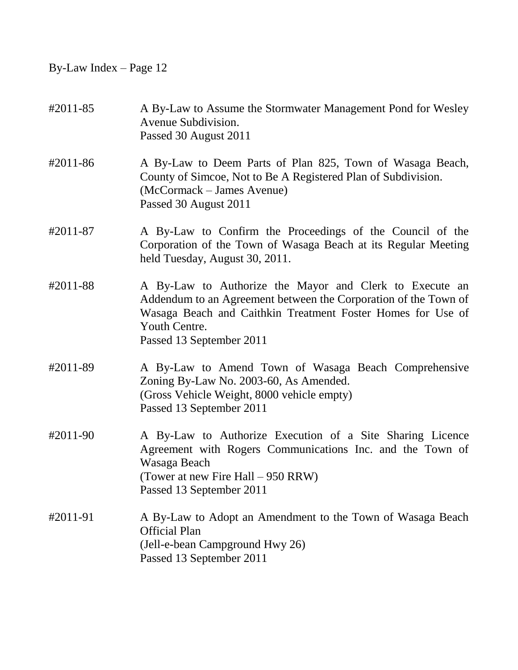| #2011-85 | A By-Law to Assume the Stormwater Management Pond for Wesley<br>Avenue Subdivision.<br>Passed 30 August 2011                                                                                                                           |
|----------|----------------------------------------------------------------------------------------------------------------------------------------------------------------------------------------------------------------------------------------|
| #2011-86 | A By-Law to Deem Parts of Plan 825, Town of Wasaga Beach,<br>County of Simcoe, Not to Be A Registered Plan of Subdivision.<br>(McCormack – James Avenue)<br>Passed 30 August 2011                                                      |
| #2011-87 | A By-Law to Confirm the Proceedings of the Council of the<br>Corporation of the Town of Wasaga Beach at its Regular Meeting<br>held Tuesday, August 30, 2011.                                                                          |
| #2011-88 | A By-Law to Authorize the Mayor and Clerk to Execute an<br>Addendum to an Agreement between the Corporation of the Town of<br>Wasaga Beach and Caithkin Treatment Foster Homes for Use of<br>Youth Centre.<br>Passed 13 September 2011 |
| #2011-89 | A By-Law to Amend Town of Wasaga Beach Comprehensive<br>Zoning By-Law No. 2003-60, As Amended.<br>(Gross Vehicle Weight, 8000 vehicle empty)<br>Passed 13 September 2011                                                               |
| #2011-90 | A By-Law to Authorize Execution of a Site Sharing Licence<br>Agreement with Rogers Communications Inc. and the Town of<br>Wasaga Beach<br>(Tower at new Fire Hall – 950 RRW)<br>Passed 13 September 2011                               |
| #2011-91 | A By-Law to Adopt an Amendment to the Town of Wasaga Beach<br><b>Official Plan</b><br>(Jell-e-bean Campground Hwy 26)<br>Passed 13 September 2011                                                                                      |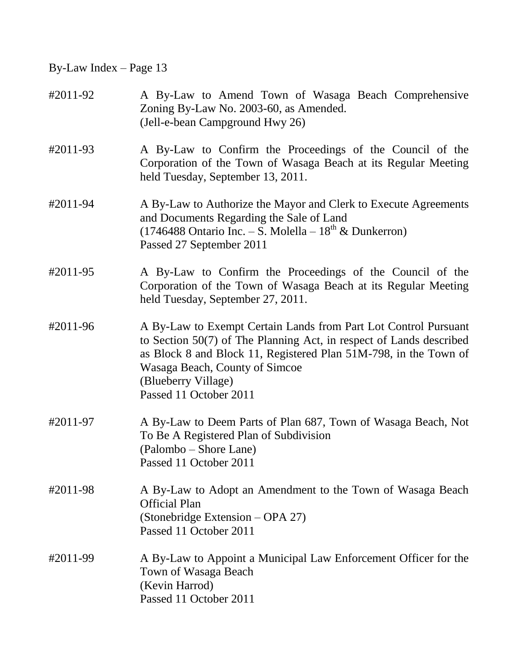| #2011-92 | A By-Law to Amend Town of Wasaga Beach Comprehensive<br>Zoning By-Law No. 2003-60, as Amended.<br>(Jell-e-bean Campground Hwy 26)                                                                                                                                                             |
|----------|-----------------------------------------------------------------------------------------------------------------------------------------------------------------------------------------------------------------------------------------------------------------------------------------------|
| #2011-93 | A By-Law to Confirm the Proceedings of the Council of the<br>Corporation of the Town of Wasaga Beach at its Regular Meeting<br>held Tuesday, September 13, 2011.                                                                                                                              |
| #2011-94 | A By-Law to Authorize the Mayor and Clerk to Execute Agreements<br>and Documents Regarding the Sale of Land<br>(1746488 Ontario Inc. - S. Molella - $18^{th}$ & Dunkerron)<br>Passed 27 September 2011                                                                                        |
| #2011-95 | A By-Law to Confirm the Proceedings of the Council of the<br>Corporation of the Town of Wasaga Beach at its Regular Meeting<br>held Tuesday, September 27, 2011.                                                                                                                              |
| #2011-96 | A By-Law to Exempt Certain Lands from Part Lot Control Pursuant<br>to Section 50(7) of The Planning Act, in respect of Lands described<br>as Block 8 and Block 11, Registered Plan 51M-798, in the Town of<br>Wasaga Beach, County of Simcoe<br>(Blueberry Village)<br>Passed 11 October 2011 |
| #2011-97 | A By-Law to Deem Parts of Plan 687, Town of Wasaga Beach, Not<br>To Be A Registered Plan of Subdivision<br>(Palombo – Shore Lane)<br>Passed 11 October 2011                                                                                                                                   |
| #2011-98 | A By-Law to Adopt an Amendment to the Town of Wasaga Beach<br><b>Official Plan</b><br>(Stonebridge Extension – OPA 27)<br>Passed 11 October 2011                                                                                                                                              |
| #2011-99 | A By-Law to Appoint a Municipal Law Enforcement Officer for the<br>Town of Wasaga Beach<br>(Kevin Harrod)<br>Passed 11 October 2011                                                                                                                                                           |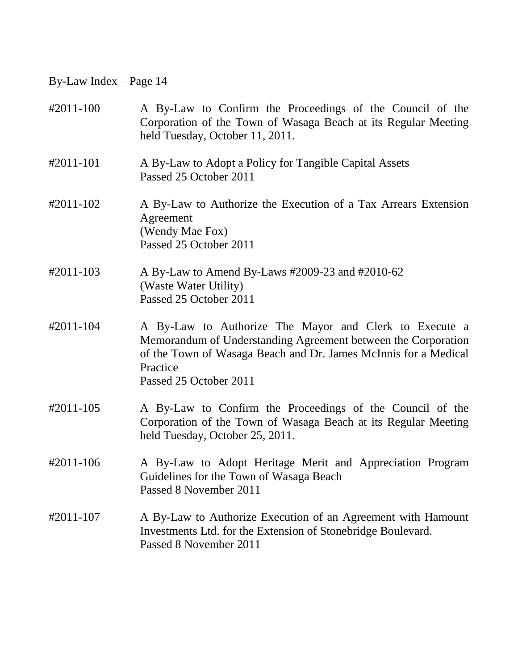| #2011-100 | A By-Law to Confirm the Proceedings of the Council of the<br>Corporation of the Town of Wasaga Beach at its Regular Meeting<br>held Tuesday, October 11, 2011.                                                                   |
|-----------|----------------------------------------------------------------------------------------------------------------------------------------------------------------------------------------------------------------------------------|
| #2011-101 | A By-Law to Adopt a Policy for Tangible Capital Assets<br>Passed 25 October 2011                                                                                                                                                 |
| #2011-102 | A By-Law to Authorize the Execution of a Tax Arrears Extension<br>Agreement<br>(Wendy Mae Fox)<br>Passed 25 October 2011                                                                                                         |
| #2011-103 | A By-Law to Amend By-Laws #2009-23 and #2010-62<br>(Waste Water Utility)<br>Passed 25 October 2011                                                                                                                               |
| #2011-104 | A By-Law to Authorize The Mayor and Clerk to Execute a<br>Memorandum of Understanding Agreement between the Corporation<br>of the Town of Wasaga Beach and Dr. James McInnis for a Medical<br>Practice<br>Passed 25 October 2011 |
| #2011-105 | A By-Law to Confirm the Proceedings of the Council of the<br>Corporation of the Town of Wasaga Beach at its Regular Meeting<br>held Tuesday, October 25, 2011.                                                                   |
| #2011-106 | A By-Law to Adopt Heritage Merit and Appreciation Program<br>Guidelines for the Town of Wasaga Beach<br>Passed 8 November 2011                                                                                                   |
| #2011-107 | A By-Law to Authorize Execution of an Agreement with Hamount<br>Investments Ltd. for the Extension of Stonebridge Boulevard.<br>Passed 8 November 2011                                                                           |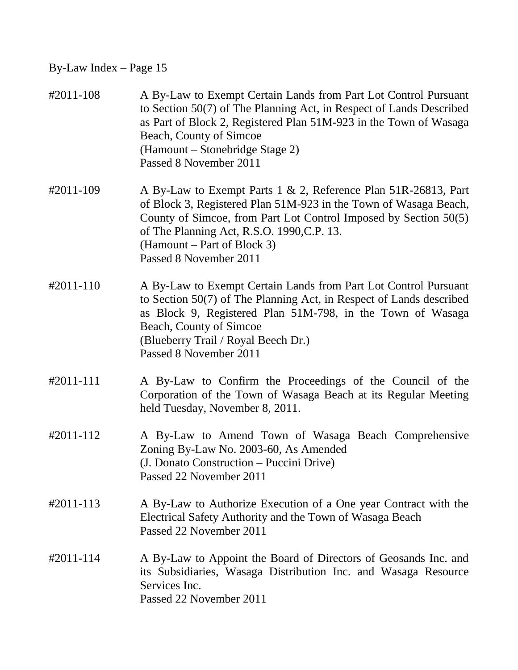| #2011-108 | A By-Law to Exempt Certain Lands from Part Lot Control Pursuant<br>to Section 50(7) of The Planning Act, in Respect of Lands Described<br>as Part of Block 2, Registered Plan 51M-923 in the Town of Wasaga<br>Beach, County of Simcoe<br>(Hamount – Stonebridge Stage 2)<br>Passed 8 November 2011           |
|-----------|---------------------------------------------------------------------------------------------------------------------------------------------------------------------------------------------------------------------------------------------------------------------------------------------------------------|
| #2011-109 | A By-Law to Exempt Parts 1 & 2, Reference Plan 51R-26813, Part<br>of Block 3, Registered Plan 51M-923 in the Town of Wasaga Beach,<br>County of Simcoe, from Part Lot Control Imposed by Section 50(5)<br>of The Planning Act, R.S.O. 1990, C.P. 13.<br>(Hamount – Part of Block 3)<br>Passed 8 November 2011 |
| #2011-110 | A By-Law to Exempt Certain Lands from Part Lot Control Pursuant<br>to Section 50(7) of The Planning Act, in Respect of Lands described<br>as Block 9, Registered Plan 51M-798, in the Town of Wasaga<br>Beach, County of Simcoe<br>(Blueberry Trail / Royal Beech Dr.)<br>Passed 8 November 2011              |
| #2011-111 | A By-Law to Confirm the Proceedings of the Council of the<br>Corporation of the Town of Wasaga Beach at its Regular Meeting<br>held Tuesday, November 8, 2011.                                                                                                                                                |
| #2011-112 | A By-Law to Amend Town of Wasaga Beach Comprehensive<br>Zoning By-Law No. 2003-60, As Amended<br>(J. Donato Construction – Puccini Drive)<br>Passed 22 November 2011                                                                                                                                          |
| #2011-113 | A By-Law to Authorize Execution of a One year Contract with the<br>Electrical Safety Authority and the Town of Wasaga Beach<br>Passed 22 November 2011                                                                                                                                                        |
| #2011-114 | A By-Law to Appoint the Board of Directors of Geosands Inc. and<br>its Subsidiaries, Wasaga Distribution Inc. and Wasaga Resource<br>Services Inc.<br>Passed 22 November 2011                                                                                                                                 |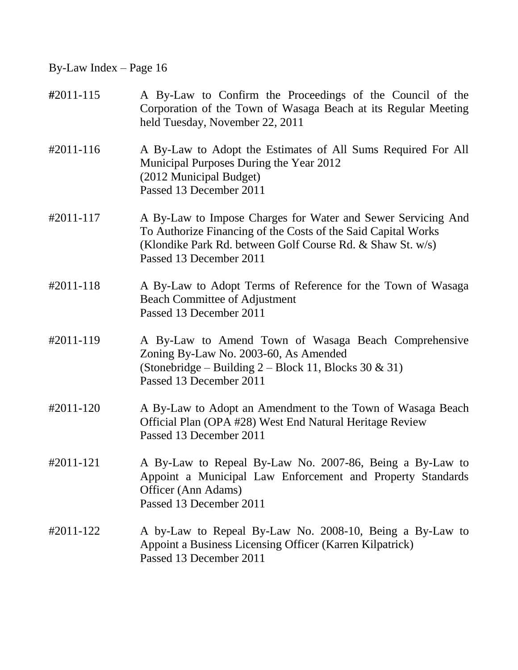| #2011-115 | A By-Law to Confirm the Proceedings of the Council of the<br>Corporation of the Town of Wasaga Beach at its Regular Meeting<br>held Tuesday, November 22, 2011                                                         |
|-----------|------------------------------------------------------------------------------------------------------------------------------------------------------------------------------------------------------------------------|
| #2011-116 | A By-Law to Adopt the Estimates of All Sums Required For All<br>Municipal Purposes During the Year 2012<br>(2012 Municipal Budget)<br>Passed 13 December 2011                                                          |
| #2011-117 | A By-Law to Impose Charges for Water and Sewer Servicing And<br>To Authorize Financing of the Costs of the Said Capital Works<br>(Klondike Park Rd. between Golf Course Rd. & Shaw St. w/s)<br>Passed 13 December 2011 |
| #2011-118 | A By-Law to Adopt Terms of Reference for the Town of Wasaga<br><b>Beach Committee of Adjustment</b><br>Passed 13 December 2011                                                                                         |
| #2011-119 | A By-Law to Amend Town of Wasaga Beach Comprehensive<br>Zoning By-Law No. 2003-60, As Amended<br>(Stonebridge – Building $2$ – Block 11, Blocks 30 & 31)<br>Passed 13 December 2011                                    |
| #2011-120 | A By-Law to Adopt an Amendment to the Town of Wasaga Beach<br>Official Plan (OPA #28) West End Natural Heritage Review<br>Passed 13 December 2011                                                                      |
| #2011-121 | A By-Law to Repeal By-Law No. 2007-86, Being a By-Law to<br>Appoint a Municipal Law Enforcement and Property Standards<br>Officer (Ann Adams)<br>Passed 13 December 2011                                               |
| #2011-122 | A by-Law to Repeal By-Law No. 2008-10, Being a By-Law to<br>Appoint a Business Licensing Officer (Karren Kilpatrick)<br>Passed 13 December 2011                                                                        |